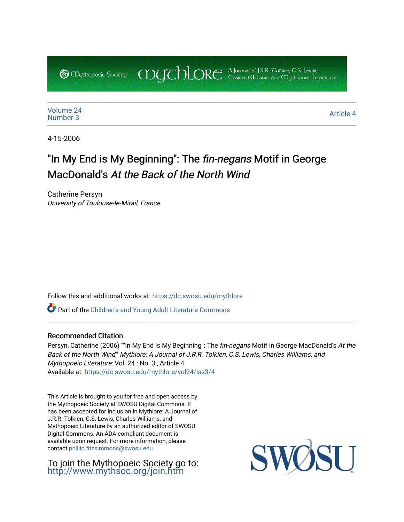COUCHORE A Journal of J.R.R. Colkien, C.S. Lewis, **@** *Oychopoeic* Sociecy

[Volume 24](https://dc.swosu.edu/mythlore/vol24)<br>Number 3 [Number 3](https://dc.swosu.edu/mythlore/vol24/iss3)<br>Number 3

4-15-2006

# "In My End is My Beginning": The *fin-negans* Motif in George MacDonald's At the Back of the North Wind

Catherine Persyn University of Toulouse-le-Mirail, France

Follow this and additional works at: [https://dc.swosu.edu/mythlore](https://dc.swosu.edu/mythlore?utm_source=dc.swosu.edu%2Fmythlore%2Fvol24%2Fiss3%2F4&utm_medium=PDF&utm_campaign=PDFCoverPages) 

Part of the [Children's and Young Adult Literature Commons](http://network.bepress.com/hgg/discipline/1289?utm_source=dc.swosu.edu%2Fmythlore%2Fvol24%2Fiss3%2F4&utm_medium=PDF&utm_campaign=PDFCoverPages) 

### Recommended Citation

Persyn, Catherine (2006) ""In My End is My Beginning": The fin-negans Motif in George MacDonald's At the Back of the North Wind," Mythlore: A Journal of J.R.R. Tolkien, C.S. Lewis, Charles Williams, and Mythopoeic Literature: Vol. 24 : No. 3 , Article 4. Available at: [https://dc.swosu.edu/mythlore/vol24/iss3/4](https://dc.swosu.edu/mythlore/vol24/iss3/4?utm_source=dc.swosu.edu%2Fmythlore%2Fvol24%2Fiss3%2F4&utm_medium=PDF&utm_campaign=PDFCoverPages) 

This Article is brought to you for free and open access by the Mythopoeic Society at SWOSU Digital Commons. It has been accepted for inclusion in Mythlore: A Journal of J.R.R. Tolkien, C.S. Lewis, Charles Williams, and Mythopoeic Literature by an authorized editor of SWOSU Digital Commons. An ADA compliant document is available upon request. For more information, please contact [phillip.fitzsimmons@swosu.edu.](mailto:phillip.fitzsimmons@swosu.edu)

To join the Mythopoeic Society go to: <http://www.mythsoc.org/join.htm>

SW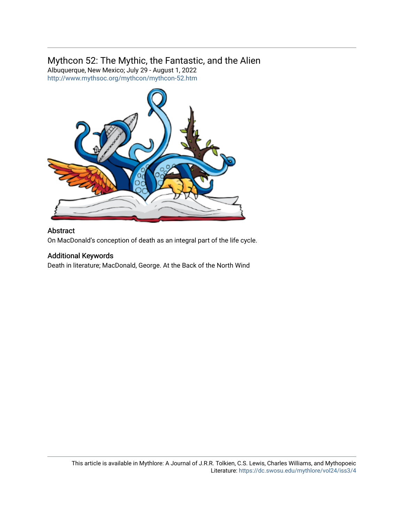## Mythcon 52: The Mythic, the Fantastic, and the Alien

Albuquerque, New Mexico; July 29 - August 1, 2022 <http://www.mythsoc.org/mythcon/mythcon-52.htm>



### Abstract

On MacDonald's conception of death as an integral part of the life cycle.

### Additional Keywords

Death in literature; MacDonald, George. At the Back of the North Wind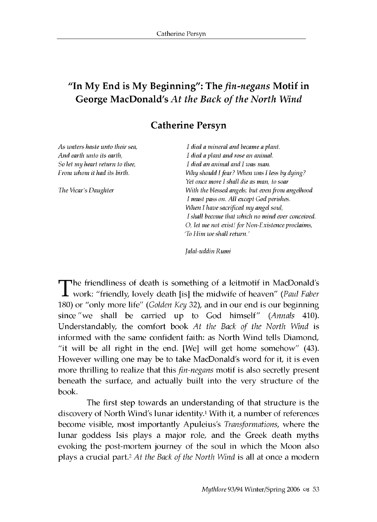### "In My End is My Beginning": The *fin-negans* Motif in **George MacDonald's At the Back of the North Wind**

### **Catherine Persyn**

**As** *waters haste unto their sea, And earth unto its earth, So let my heart return to thee, From whom it had its birth.*

*The Vicar's Daughter*

*I died a mineral and became a plant. I died a plant and rose an animal. I died an animal and I was man. Why should I fear? When was I less by dying? Yet once more I shall die as man, to soar With the blessed angels; but even from angelhood I must pass on. All except God perishes. When I have sacrificed my angel soul, I shall become that which no mind ever conceived. O, let me not exist! for Non-Existence proclaims, 'To Him we shall return***.'**

*Jalal-uddin Rumi*

The friendliness of death is something of a leitmotif in MacDonald's work: "friendly, lovely death [is] the midwife of heaven" *(Paul Faber* 180) or "only more life" *(Golden Key* 32), and in our end is our beginning since "we shall be carried up to God himself" *(Annals* 410). Understandably, the comfort book *At the Back of the North Wind* is informed with the same confident faith: as North Wind tells Diamond, "it will be all right in the end. [We] will get home somehow" (43). However willing one may be to take MacDonald's word for it, it is even more thrilling to realize that this *fin-negans* motif is also secretly present beneath the surface, and actually built into the very structure of the book.

The first step towards an understanding of that structure is the discovery of North Wind's lunar identity.1 With it, a number of references become visible, most importantly Apuleius's *Transformations*, where the lunar goddess Isis plays a major role, and the Greek death myths evoking the post-mortem journey of the soul in which the Moon also plays a crucial part.<sup>2</sup> At the Back of the North Wind is all at once a modern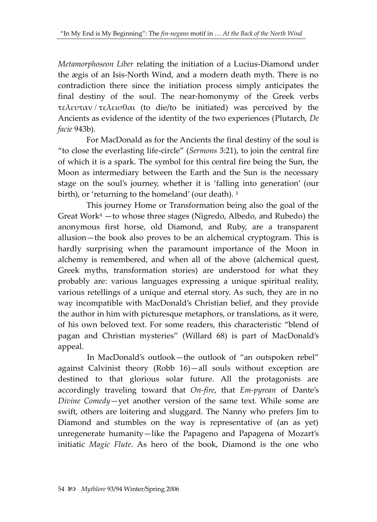*Metamorphoseon Liber* relating the initiation of a Lucius-Diamond under the ægis of an Isis-North Wind, and a modern death myth. There is no contradiction there since the initiation process simply anticipates the final destiny of the soul. The near-homonymy of the Greek verbs τελευταν/τελεισθαι (to die/to be initiated) was perceived by the Ancients as evidence of the identity of the two experiences (Plutarch, *De facie* 943b).

For MacDonald as for the Ancients the final destiny of the soul is "to close the everlasting life-circle" (*Sermons* 3:21), to join the central fire of which it is a spark. The symbol for this central fire being the Sun, the Moon as intermediary between the Earth and the Sun is the necessary stage on the soul's journey, whether it is 'falling into generation' (our birth), or 'returning to the homeland' (our death).<sup>3</sup>

This journey Home or Transformation being also the goal of the Great Work $4$  -to whose three stages (Nigredo, Albedo, and Rubedo) the anonymous first horse, old Diamond, and Ruby, are a transparent allusion—the book also proves to be an alchemical cryptogram. This is hardly surprising when the paramount importance of the Moon in alchemy is remembered, and when all of the above (alchemical quest, Greek myths, transformation stories) are understood for what they probably are: various languages expressing a unique spiritual reality, various retellings of a unique and eternal story. As such, they are in no way incompatible with MacDonald's Christian belief, and they provide the author in him with picturesque metaphors, or translations, as it were, of his own beloved text. For some readers, this characteristic "blend of pagan and Christian mysteries" (Willard 68) is part of MacDonald's appeal.

In MacDonald's outlook—the outlook of "an outspoken rebel" against Calvinist theory (Robb 16)—all souls without exception are destined to that glorious solar future. All the protagonists are accordingly traveling toward that *On-fire*, that *Em-pyrean* of Dante's *Divine Comedy*—yet another version of the same text. While some are swift, others are loitering and sluggard. The Nanny who prefers Jim to Diamond and stumbles on the way is representative of (an as yet) unregenerate humanity—like the Papageno and Papagena of Mozart's initiatic *Magic Flute*. As hero of the book, Diamond is the one who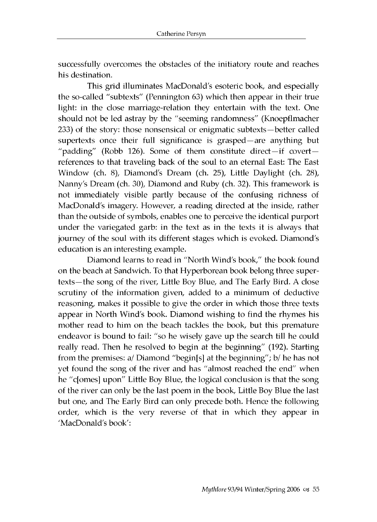successfully overcomes the obstacles of the initiatory route and reaches his destination.

This grid illuminates MacDonald's esoteric book, and especially the so-called "subtexts" (Pennington 63) which then appear in their true light: in the close marriage-relation they entertain with the text. One should not be led astray by the "seeming randomness" (Knoepflmacher 233) of the story: those nonsensical or enigmatic subtexts—better called supertexts once their full significance is grasped—are anything but "padding" (Robb 126). Some of them constitute direct—if covert references to that traveling back of the soul to an eternal East: The East Window (ch. 8), Diamond's Dream (ch. 25), Little Daylight (ch. 28), Nanny's Dream (ch. 30), Diamond and Ruby (ch. 32). This framework is not immediately visible partly because of the confusing richness of MacDonald's imagery. However, a reading directed at the inside, rather than the outside of symbols, enables one to perceive the identical purport under the variegated garb: in the text as in the texts it is always that journey of the soul with its different stages which is evoked. Diamond's education is an interesting example.

Diamond learns to read in "North Wind's book," the book found on the beach at Sandwich. To that Hyperborean book belong three supertexts—the song of the river, Little Boy Blue, and The Early Bird. A close scrutiny of the information given, added to a minimum of deductive reasoning, makes it possible to give the order in which those three texts appear in North Wind's book. Diamond wishing to find the rhymes his mother read to him on the beach tackles the book, but this premature endeavor is bound to fail: "so he wisely gave up the search till he could really read. Then he resolved to begin at the beginning" (192). Starting from the premises: a/ Diamond "begin[s] at the beginning"; b/ he has not yet found the song of the river and has "almost reached the end" when he "c[omes] upon" Little Boy Blue, the logical conclusion is that the song of the river can only be the last poem in the book, Little Boy Blue the last but one, and The Early Bird can only precede both. Hence the following order, which is the very reverse of that in which they appear in 'MacDonald's book':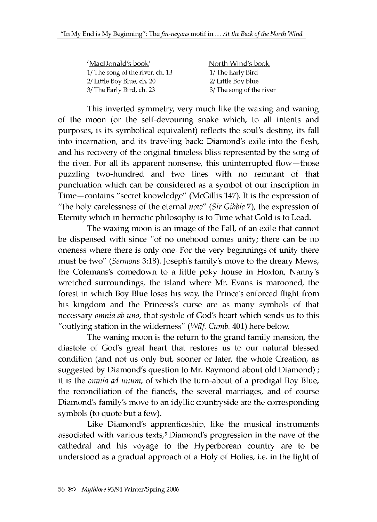| 'MacDonald's book'               | North Wind's book        |
|----------------------------------|--------------------------|
| 1/ The song of the river, ch. 13 | 1/ The Early Bird        |
| 2/ Little Boy Blue, ch. 20       | 2/ Little Boy Blue       |
| 3/ The Early Bird, ch. 23        | 3/ The song of the river |

This inverted symmetry, very much like the waxing and waning of the moon (or the self-devouring snake which, to all intents and purposes, is its symbolical equivalent) reflects the soul's destiny, its fall into incarnation, and its traveling back: Diamond's exile into the flesh, and his recovery of the original timeless bliss represented by the song of the river. For all its apparent nonsense, this uninterrupted flow—those puzzling two-hundred and two lines with no remnant of that punctuation which can be considered as a symbol of our inscription in Time—contains "secret knowledge" (McGillis 147). It is the expression of "the holy carelessness of the eternal *now" (Sir Gibbie* 7), the expression of Eternity which in hermetic philosophy is to Time what Gold is to Lead.

The waxing moon is an image of the Fall, of an exile that cannot be dispensed with since "of no onehood comes unity; there can be no oneness where there is only one. For the very beginnings of unity there must be two" *(Sermons* 3:18). Joseph's family's move to the dreary Mews, the Colemans's comedown to a little poky house in Hoxton, Nanny's wretched surroundings, the island where Mr. Evans is marooned, the forest in which Boy Blue loses his way, the Prince's enforced flight from his kingdom and the Princess's curse are as many symbols of that necessary *omnia ab uno*, that systole of God's heart which sends us to this "outlying station in the wilderness" (*Wilf. Cumb.* 401) here below.

The waning moon is the return to the grand family mansion, the diastole of God's great heart that restores us to our natural blessed condition (and not us only but, sooner or later, the whole Creation, as suggested by Diamond's question to Mr. Raymond about old Diamond) ; it is the *omnia ad unum*, of which the turn-about of a prodigal Boy Blue, the reconciliation of the fiances, the several marriages, and of course Diamond's family's move to an idyllic countryside are the corresponding symbols (to quote but a few).

Like Diamond's apprenticeship, like the musical instruments associated with various texts,<sup>5</sup> Diamond's progression in the nave of the cathedral and his voyage to the Hyperborean country are to be understood as a gradual approach of a Holy of Holies, i.e. in the light of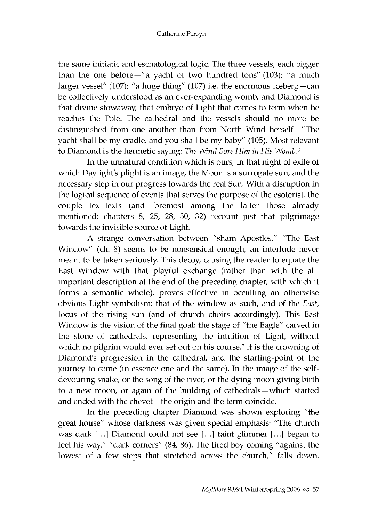the same initiatic and eschatological logic. The three vessels, each bigger than the one before—"a yacht of two hundred tons" (103); "a much larger vessel" (107); "a huge thing" (107) i.e. the enormous iceberg—can be collectively understood as an ever-expanding womb, and Diamond is that divine stowaway, that embryo of Light that comes to term when he reaches the Pole. The cathedral and the vessels should no more be distinguished from one another than from North Wind herself—" The yacht shall be my cradle, and you shall be my baby" (105). Most relevant to Diamond is the hermetic saying: *The Wind Bore Him in His Womb.6*

In the unnatural condition which is ours, in that night of exile of which Daylight's plight is an image, the Moon is a surrogate sun, and the necessary step in our progress towards the real Sun. With a disruption in the logical sequence of events that serves the purpose of the esoterist, the couple text-texts (and foremost among the latter those already mentioned: chapters 8, 25, 28, 30, 32) recount just that pilgrimage towards the invisible source of Light.

A strange conversation between "sham Apostles," "The East Window" (ch. 8) seems to be nonsensical enough, an interlude never meant to be taken seriously. This decoy, causing the reader to equate the East Window with that playful exchange (rather than with the allimportant description at the end of the preceding chapter, with which it forms a semantic whole), proves effective in occulting an otherwise obvious Light symbolism: that of the window as such, and of the *East,* locus of the rising sun (and of church choirs accordingly). This East Window is the vision of the final goal: the stage of "the Eagle" carved in the stone of cathedrals, representing the intuition of Light, without which no pilgrim would ever set out on his course.<sup>7</sup> It is the crowning of Diamond's progression in the cathedral, and the starting-point of the journey to come (in essence one and the same). In the image of the selfdevouring snake, or the song of the river, or the dying moon giving birth to a new moon, or again of the building of cathedrals—which started and ended with the chevet—the origin and the term coincide.

In the preceding chapter Diamond was shown exploring "the great house" whose darkness was given special emphasis: "The church was dark [...] Diamond could not see [...] faint glimmer [...] began to feel his way," "dark corners" (84, 86). The tired boy coming "against the lowest of a few steps that stretched across the church," falls down,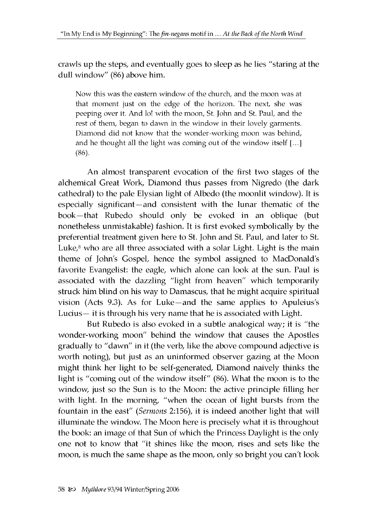crawls up the steps, and eventually goes to sleep as he lies "staring at the dull window" (86) above him.

Now this was the eastern window of the church, and the moon was at that moment just on the edge of the horizon. The next, she was peeping over it. And lo! with the moon, St. John and St. Paul, and the rest of them, began to dawn in the window in their lovely garments. Diamond did not know that the wonder-working moon was behind, and he thought all the light was coming out of the window itself [...] (86).

An almost transparent evocation of the first two stages of the alchemical Great Work, Diamond thus passes from Nigredo (the dark cathedral) to the pale Elysian light of Albedo (the moonlit window). It is especially significant—and consistent with the lunar thematic of the book—that Rubedo should only be evoked in an oblique (but nonetheless unmistakable) fashion. It is first evoked symbolically by the preferential treatment given here to St. John and St. Paul, and later to St. Luke, $8$  who are all three associated with a solar Light. Light is the main theme of John's Gospel, hence the symbol assigned to MacDonald's favorite Evangelist: the eagle, which alone can look at the sun. Paul is associated with the dazzling "light from heaven" which temporarily struck him blind on his way to Damascus, that he might acquire spiritual vision (Acts 9.3). As for Luke—and the same applies to Apuleius's Lucius— it is through his very name that he is associated with Light.

But Rubedo is also evoked in a subtle analogical way; it is "the wonder-working moon" behind the window that causes the Apostles gradually to "dawn" in it (the verb, like the above compound adjective is worth noting), but just as an uninformed observer gazing at the Moon might think her light to be self-generated, Diamond naively thinks the light is "coming out of the window itself" (86). What the moon is to the window, just so the Sun is to the Moon: the active principle filling her with light. In the morning, "when the ocean of light bursts from the fountain in the east" *(Sermons* 2:156), it is indeed another light that will illuminate the window. The Moon here is precisely what it is throughout the book: an image of that Sun of which the Princess Daylight is the only one not to know that "it shines like the moon, rises and sets like the moon, is much the same shape as the moon, only so bright you can't look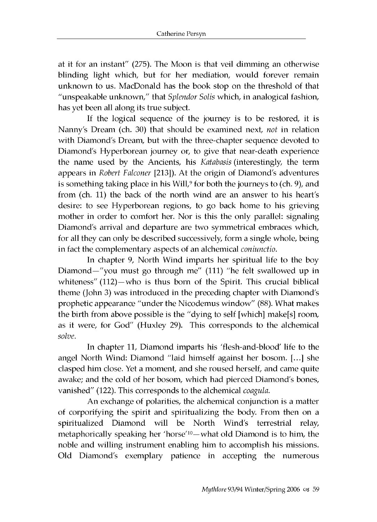at it for an instant" (275). The Moon is that veil dimming an otherwise blinding light which, but for her mediation, would forever remain unknown to us. MacDonald has the book stop on the threshold of that "unspeakable unknown," that *Splendor Solis* which, in analogical fashion, has yet been all along its true subject.

If the logical sequence of the journey is to be restored, it is Nanny's Dream (ch. 30) that should be examined next, *not* in relation with Diamond's Dream, but with the three-chapter sequence devoted to Diamond's Hyperborean journey or, to give that near-death experience the name used by the Ancients, his *Katabasis* (interestingly, the term appears in *Robert Falconer* [213]). At the origin of Diamond's adventures is something taking place in his Will,<sup>9</sup> for both the journeys to (ch. 9), and from (ch. 11) the back of the north wind are an answer to his heart's desire: to see Hyperborean regions, to go back home to his grieving mother in order to comfort her. Nor is this the only parallel: signaling Diamond's arrival and departure are two symmetrical embraces which, for all they can only be described successively, form a single whole, being in fact the complementary aspects of an alchemical *coniunctio.*

In chapter 9, North Wind imparts her spiritual life to the boy Diamond—"you must go through me" (111) "he felt swallowed up in whiteness" (112)—who is thus born of the Spirit. This crucial biblical theme (John 3) was introduced in the preceding chapter with Diamond's prophetic appearance "under the Nicodemus window" (88). What makes the birth from above possible is the "dying to self [which] make[s] room, as it were, for God" (Huxley 29). This corresponds to the alchemical *solve.*

In chapter 11, Diamond imparts his 'flesh-and-blood' life to the angel North Wind: Diamond "laid himself against her bosom. [...] she clasped him close. Yet a moment, and she roused herself, and came quite awake; and the cold of her bosom, which had pierced Diamond's bones, vanished" (122). This corresponds to the alchemical *coagula.*

An exchange of polarities, the alchemical conjunction is a matter of corporifying the spirit and spiritualizing the body. From then on a spiritualized Diamond will be North Wind's terrestrial relay, metaphorically speaking her 'horse'10—what old Diamond is to him, the noble and willing instrument enabling him to accomplish his missions. Old Diamond's exemplary patience in accepting the numerous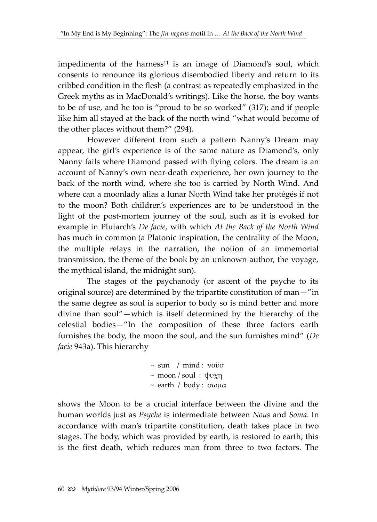impedimenta of the harness<sup>11</sup> is an image of Diamond's soul, which consents to renounce its glorious disembodied liberty and return to its cribbed condition in the flesh (a contrast as repeatedly emphasized in the Greek myths as in MacDonald's writings). Like the horse, the boy wants to be of use, and he too is "proud to be so worked" (317); and if people like him all stayed at the back of the north wind "what would become of the other places without them?" (294).

However different from such a pattern Nanny's Dream may appear, the girl's experience is of the same nature as Diamond's, only Nanny fails where Diamond passed with flying colors. The dream is an account of Nanny's own near-death experience, her own journey to the back of the north wind, where she too is carried by North Wind. And where can a moonlady alias a lunar North Wind take her protégés if not to the moon? Both children's experiences are to be understood in the light of the post-mortem journey of the soul, such as it is evoked for example in Plutarch's *De facie*, with which *At the Back of the North Wind* has much in common (a Platonic inspiration, the centrality of the Moon, the multiple relays in the narration, the notion of an immemorial transmission, the theme of the book by an unknown author, the voyage, the mythical island, the midnight sun).

The stages of the psychanody (or ascent of the psyche to its original source) are determined by the tripartite constitution of man—"in the same degree as soul is superior to body so is mind better and more divine than soul"—which is itself determined by the hierarchy of the celestial bodies—"In the composition of these three factors earth furnishes the body, the moon the soul, and the sun furnishes mind" (*De facie* 943a). This hierarchy

```
\sim sun / mind : νοϋσ
 ~ moon / soul : ψυχη
\sim earth / body : σωμα
```
shows the Moon to be a crucial interface between the divine and the human worlds just as *Psyche* is intermediate between *Nous* and *Soma*. In accordance with man's tripartite constitution, death takes place in two stages. The body, which was provided by earth, is restored to earth; this is the first death, which reduces man from three to two factors. The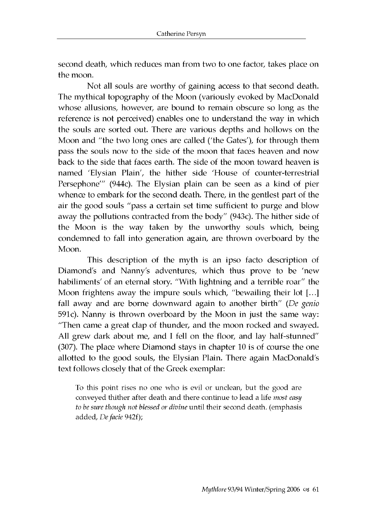second death, which reduces man from two to one factor, takes place on the moon.

Not all souls are worthy of gaining access to that second death. The mythical topography of the Moon (variously evoked by MacDonald whose allusions, however, are bound to remain obscure so long as the reference is not perceived) enables one to understand the way in which the souls are sorted out. There are various depths and hollows on the Moon and "the two long ones are called ('the Gates'), for through them pass the souls now to the side of the moon that faces heaven and now back to the side that faces earth. The side of the moon toward heaven is named 'Elysian Plain', the hither side 'House of counter-terrestrial Persephone'" (944c). The Elysian plain can be seen as a kind of pier whence to embark for the second death. There, in the gentlest part of the air the good souls "pass a certain set time sufficient to purge and blow away the pollutions contracted from the body" (943c). The hither side of the Moon is the way taken by the unworthy souls which, being condemned to fall into generation again, are thrown overboard by the Moon.

This description of the myth is an ipso facto description of Diamond's and Nanny's adventures, which thus prove to be 'new habiliments' of an eternal story. "With lightning and a terrible roar" the Moon frightens away the impure souls which, "bewailing their lot [...] fall away and are borne downward again to another birth" (De *genio* 591c). Nanny is thrown overboard by the Moon in just the same way: "Then came a great clap of thunder, and the moon rocked and swayed. All grew dark about me, and I fell on the floor, and lay half-stunned" (307). The place where Diamond stays in chapter 10 is of course the one allotted to the good souls, the Elysian Plain. There again MacDonald's text follows closely that of the Greek exemplar:

To this point rises no one who is evil or unclean, but the good are conveyed thither after death and there continue to lead a life *most easy to be sure though not blessed or divine* until their second death. (emphasis added, *De facie* 942f);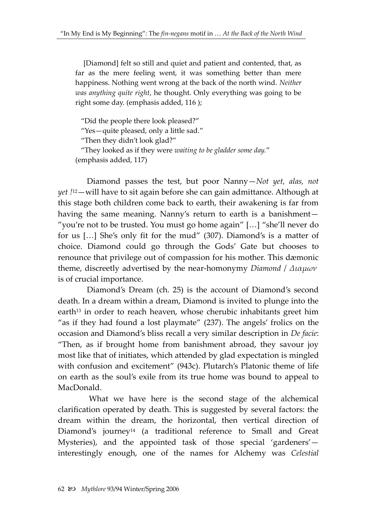[Diamond] felt so still and quiet and patient and contented, that, as far as the mere feeling went, it was something better than mere happiness. Nothing went wrong at the back of the north wind. *Neither was anything quite right*, he thought. Only everything was going to be right some day. (emphasis added, 116 );

"Did the people there look pleased?"

"Yes—quite pleased, only a little sad."

"Then they didn't look glad?"

 "They looked as if they were *waiting to be gladder some day.*" (emphasis added, 117)

Diamond passes the test, but poor Nanny—*Not yet, alas, not yet !* <sup>12</sup>—will have to sit again before she can gain admittance. Although at this stage both children come back to earth, their awakening is far from having the same meaning. Nanny's return to earth is a banishment— "you're not to be trusted. You must go home again" […] "she'll never do for us […] She's only fit for the mud" (307). Diamond's is a matter of choice. Diamond could go through the Gods' Gate but chooses to renounce that privilege out of compassion for his mother. This dæmonic theme, discreetly advertised by the near-homonymy *Diamond* / *Διαμων* is of crucial importance.

Diamond's Dream (ch. 25) is the account of Diamond's second death. In a dream within a dream, Diamond is invited to plunge into the earth<sup>13</sup> in order to reach heaven, whose cherubic inhabitants greet him "as if they had found a lost playmate" (237). The angels' frolics on the occasion and Diamond's bliss recall a very similar description in *De facie*: "Then, as if brought home from banishment abroad, they savour joy most like that of initiates, which attended by glad expectation is mingled with confusion and excitement" (943c). Plutarch's Platonic theme of life on earth as the soul's exile from its true home was bound to appeal to MacDonald.

What we have here is the second stage of the alchemical clarification operated by death. This is suggested by several factors: the dream within the dream, the horizontal, then vertical direction of Diamond's journey<sup>14</sup> (a traditional reference to Small and Great Mysteries), and the appointed task of those special 'gardeners' interestingly enough, one of the names for Alchemy was *Celestial*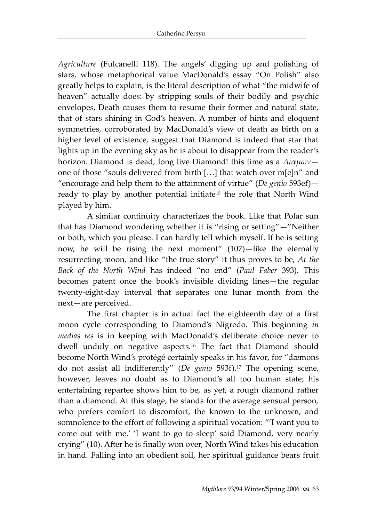*Agriculture* (Fulcanelli 118). The angels' digging up and polishing of stars, whose metaphorical value MacDonald's essay "On Polish" also greatly helps to explain, is the literal description of what "the midwife of heaven" actually does: by stripping souls of their bodily and psychic envelopes, Death causes them to resume their former and natural state, that of stars shining in God's heaven. A number of hints and eloquent symmetries, corroborated by MacDonald's view of death as birth on a higher level of existence, suggest that Diamond is indeed that star that lights up in the evening sky as he is about to disappear from the reader's horizon. Diamond is dead, long live Diamond! this time as a *Διαμων* one of those "souls delivered from birth […] that watch over m[e]n" and "encourage and help them to the attainment of virtue" (*De genio* 593ef) ready to play by another potential initiate<sup>15</sup> the role that North Wind played by him.

A similar continuity characterizes the book. Like that Polar sun that has Diamond wondering whether it is "rising or setting"—"Neither or both, which you please. I can hardly tell which myself. If he is setting now, he will be rising the next moment" (107)—like the eternally resurrecting moon, and like "the true story" it thus proves to be, *At the Back of the North Wind* has indeed "no end" (*Paul Faber* 393). This becomes patent once the book's invisible dividing lines—the regular twenty-eight-day interval that separates one lunar month from the next—are perceived.

The first chapter is in actual fact the eighteenth day of a first moon cycle corresponding to Diamond's Nigredo. This beginning *in medias res* is in keeping with MacDonald's deliberate choice never to dwell unduly on negative aspects.<sup>16</sup> The fact that Diamond should become North Wind's protégé certainly speaks in his favor, for "dæmons do not assist all indifferently" (*De genio* 593f).<sup>17</sup> The opening scene, however, leaves no doubt as to Diamond's all too human state; his entertaining repartee shows him to be, as yet, a rough diamond rather than a diamond. At this stage, he stands for the average sensual person, who prefers comfort to discomfort, the known to the unknown, and somnolence to the effort of following a spiritual vocation: "'I want you to come out with me.' 'I want to go to sleep' said Diamond, very nearly crying" (10). After he is finally won over, North Wind takes his education in hand. Falling into an obedient soil, her spiritual guidance bears fruit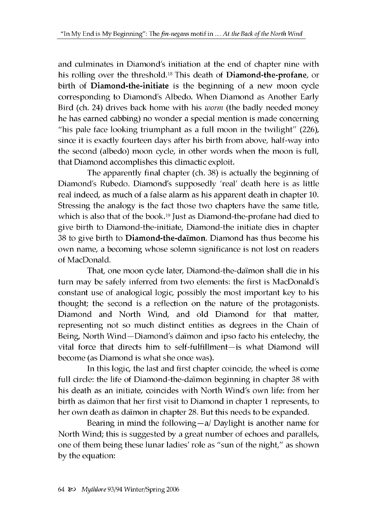and culminates in Diamond's initiation at the end of chapter nine with his rolling over the threshold.<sup>18</sup> This death of **Diamond-the-profane**, or birth of **Diamond-the-initiate** is the beginning of a new moon cycle corresponding to Diamond's Albedo. When Diamond as Another Early Bird (ch. 24) drives back home with his *worm* (the badly needed money he has earned cabbing) no wonder a special mention is made concerning "his pale face looking triumphant as a full moon in the twilight" (226), since it is exactly fourteen days after his birth from above, half-way into the second (albedo) moon cycle, in other words when the moon is full, that Diamond accomplishes this climactic exploit.

The apparently final chapter (ch. 38) is actually the beginning of Diamond's Rubedo. Diamond's supposedly 'real' death here is as little real indeed, as much of a false alarm as his apparent death in chapter 10. Stressing the analogy is the fact those two chapters have the same title, which is also that of the book.<sup>19</sup> Just as Diamond-the-profane had died to give birth to Diamond-the-initiate, Diamond-the initiate dies in chapter 38 to give birth to Diamond-the-daimon. Diamond has thus become his own name, a becoming whose solemn significance is not lost on readers of MacDonald.

That, one moon cycle later, Diamond-the-daimon shall die in his turn may be safely inferred from two elements: the first is MacDonald's constant use of analogical logic, possibly the most important key to his thought; the second is a reflection on the nature of the protagonists. Diamond and North Wind, and old Diamond for that matter, representing not so much distinct entities as degrees in the Chain of Being, North Wind—Diamond's daimon and ipso facto his entelechy, the vital force that directs him to self-fulfillment—is what Diamond will become (as Diamond is what she once was).

In this logic, the last and first chapter coincide, the wheel is come full circle: the life of Diamond-the-daimon beginning in chapter 38 with his death as an initiate, coincides with North Wind's own life: from her birth as daimon that her first visit to Diamond in chapter 1 represents, to her own death as daimon in chapter 28. But this needs to be expanded.

Bearing in mind the following—a/ Daylight is another name for North Wind; this is suggested by a great number of echoes and parallels, one of them being these lunar ladies' role as "sun of the night," as shown by the equation: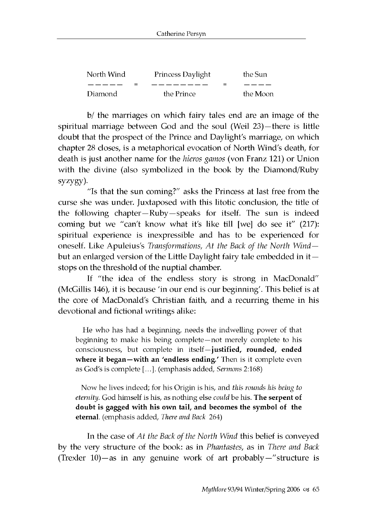| North Wind | Princess Daylight | the Sun  |
|------------|-------------------|----------|
|            | _ _ _ _ _ _ _ _   |          |
| Diamond    | the Prince        | the Moon |

b/ the marriages on which fairy tales end are an image of the spiritual marriage between God and the soul (Weil 23)—there is little doubt that the prospect of the Prince and Daylight's marriage, on which chapter 28 closes, is a metaphorical evocation of North Wind's death, for death is just another name for the *hieros gamos* (von Franz 121) or Union with the divine (also symbolized in the book by the Diamond/Ruby syzygy).

"Is that the sun coming?" asks the Princess at last free from the curse she was under. Juxtaposed with this litotic conclusion, the title of the following chapter—Ruby—speaks for itself. The sun is indeed coming but we "can't know what it's like till [we] do see it" (217): spiritual experience is inexpressible and has to be experienced for oneself. Like Apuleius's *Transformations, At the Back of the North Wind* but an enlarged version of the Little Daylight fairy tale embedded in it stops on the threshold of the nuptial chamber.

If "the idea of the endless story is strong in MacDonald" (McGillis 146), it is because 'in our end is our beginning'. This belief is at the core of MacDonald's Christian faith, and a recurring theme in his devotional and fictional writings alike:

He who has had a beginning, needs the indwelling power of that beginning to make his being complete—not merely complete to his consciousness, but complete in itself—**justified, rounded, ended where it began—with an 'endless ending.'** Then is it complete even as God's is complete [...]. (emphasis added, *Sermons* 2:168)

Now he lives indeed; for his Origin is his, and *this rounds his being to eternity.* God himself is his, as nothing else *could* be his. **The serpent of doubt is gagged with his own tail, and becomes the symbol of the eternal**. (emphasis added, *There and Back* 264)

In the case of *At the Back of the North Wind* this belief is conveyed by the very structure of the book: as in *Phantastes*, as in *There and Back* (Trexler 10)—as in any genuine work of art probably—" structure is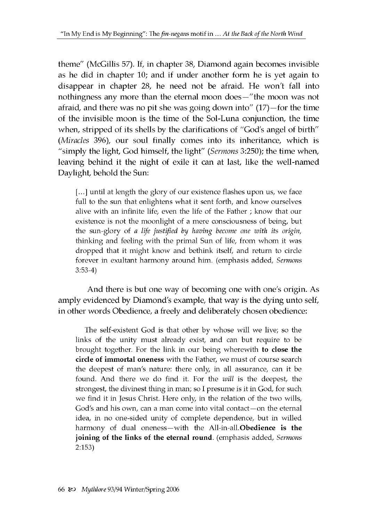theme" (McGillis 57). If, in chapter 38, Diamond again becomes invisible as he did in chapter 10; and if under another form he is yet again to disappear in chapter 28, he need not be afraid. He won't fall into nothingness any more than the eternal moon does—"the moon was not afraid, and there was no pit she was going down into" (17)—for the time of the invisible moon is the time of the Sol-Luna conjunction, the time when, stripped of its shells by the clarifications of "God's angel of birth" *(Miracles* 396), our soul finally comes into its inheritance, which is "simply the light, God himself, the light" *(Sermons* 3:250); the time when, leaving behind it the night of exile it can at last, like the well-named Daylight, behold the Sun:

[...] until at length the glory of our existence flashes upon us, we face full to the sun that enlightens what it sent forth, and know ourselves alive with an infinite life, even the life of the Father ; know that our existence is not the moonlight of a mere consciousness of being, but the sun-glory of *a life justified by having become one with its origin,* thinking and feeling with the primal Sun of life, from whom it was dropped that it might know and bethink itself, and return to circle forever in exultant harmony around him. (emphasis added, *Sermons* 3:53-4)

And there is but one way of becoming one with one's origin. As amply evidenced by Diamond's example, that way is the dying unto self, in other words Obedience, a freely and deliberately chosen obedience:

The self-existent God is that other by whose will we live; so the links of the unity must already exist, and can but require to be brought together. For the link in our being wherewith **to close the circle of immortal oneness** with the Father, we must of course search the deepest of man's nature: there only, in all assurance, can it be found. And there we do find it. For the *will* is the deepest, the strongest, the divinest thing in man; so I presume is it in God, for such we find it in Jesus Christ. Here only, in the relation of the two wills, God's and his own, can a man come into vital contact—on the eternal idea, in no one-sided unity of complete dependence, but in willed harmony of dual oneness—with the All-in-all. **Obedience is the joining of the links of the eternal round**. (emphasis added, *Sermons* 2:153)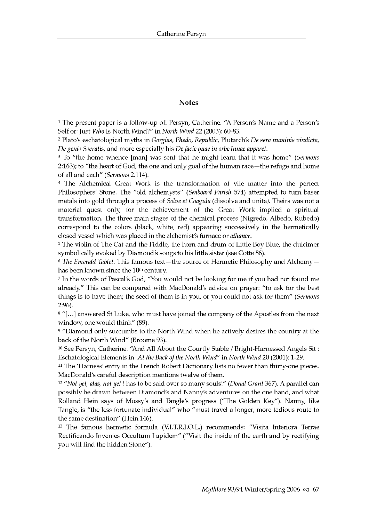#### **Notes**

**1 The present paper is a follow-up of: Persyn, Catherine. "A Person's Name and a Person's Self or: Just** *Who* **Is North Wind?" in** *North Wind* **22 (2003): 60-83.**

**2 Plato's eschatological myths in** *Gorgias, Phedo, Republic,* **Plutarch's** *De sera numinis vindicta, De genio Socratis,* **and more especially his** *De facie quae in orbe lunae apparet.*

**3 To "the home whence [man] was sent that he might learn that it was home"** *(Sermons* **2:163); to "the heart of God, the one and only goal of the human race—the refuge and home of all and each"** *(Sermons* **2:114).**

**4 The Alchemical Great Work is the transformation of vile matter into the perfect Philosophers' Stone. The "old alchemysts"** *(Seaboard Parish* **574) attempted to turn baser metals into gold through a process of** *Solve et Coagula* **(dissolve and unite***)***. Theirs was not a material quest only, for the achievement of the Great Work implied a spiritual transformation. The three main stages of the chemical process (Nigredo, Albedo, Rubedo) correspond to the colors (black, white, red) appearing successively in the hermetically closed vessel which was placed in the alchemist's furnace or** *athanor***.**

**5 The violin of The Cat and the Fiddle, the horn and drum of Little Boy Blue, the dulcimer symbolically evoked by Diamond's songs to his little sister (see Cotte 86).**

**6** *The Emerald Tablet.* **This famous text—the source of Hermetic Philosophy and Alchemy has been known since the 10th century.**

**7 In the words of Pascal's God, "You would not be looking for me if you had not found me already." This can be compared with MacDonald's advice on prayer: "to ask for the best things is to have them; the seed of them is in you, or you could not ask for them"** *(Sermons* **2:96).**

**8 "[...] answered St Luke, who must have joined the company of the Apostles from the next window, one would think" (89).**

**9 "Diamond only succumbs to the North Wind when he actively desires the country at the back of the North Wind" (Broome 93).**

**10 See Persyn, Catherine. "And All About the Courtly Stable / Bright-Harnessed Angels Sit : Eschatological Elements in** *At the Back of the North Wind"* **in** *North Wind* **20 (2001): 1-29.**

**11 The 'Harness' entry in the French Robert Dictionary lists no fewer than thirty-one pieces. MacDonald's careful description mentions twelve of them.**

**12** *"Not yet, alas, not yet* **! has to be said over so many souls!"** *(Donal Grant* **367). A parallel can possibly be drawn between Diamond's and Nanny's adventures on the one hand, and what Rolland Hein says of Mossy's and Tangle's progress ("The Golden Key"). Nanny, like Tangle, is "the less fortunate individual" who "must travel a longer, more tedious route to the same destination" (Hein 146).**

**13 The famous hermetic formula (VI.T.R.I.O.L.) recommends: "Visita Interiora Terrae Rectificando Invenies Occultum Lapidem" ("Visit the inside of the earth and by rectifying you will find the hidden Stone").**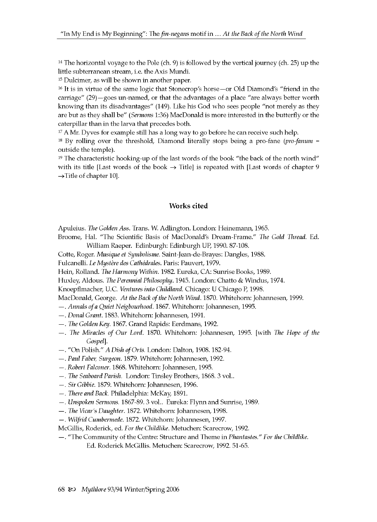$14$  The horizontal voyage to the Pole (ch. 9) is followed by the vertical journey (ch. 25) up the little subterranean stream, i.e. the Axis Mundi.

15 Dulcimer, as will be shown in another paper.

16 It is in virtue of the same logic that Stonecrop's horse—or Old Diamond's "friend in the carriage" (29)—goes un-named, or that the advantages of a place "are always better worth knowing than its disadvantages" (149). Like his God who sees people "not merely as they are but as they shall be" *(Sermons* 1:36) MacDonald is more interested in the butterfly or the caterpillar than in the larva that precedes both.

<sup>17</sup> A Mr. Dyves for example still has a long way to go before he can receive such help.

18 By rolling over the threshold, Diamond literally stops being a pro-fane *(pro-fanum* = outside the temple).

 $19$  The characteristic hooking-up of the last words of the book "the back of the north wind" with its title [Last words of the book  $\rightarrow$  Title] is repeated with [Last words of chapter 9  $\rightarrow$ Title of chapter 10.

#### **Works cited**

Apuleius. *The Golden* Ass. Trans. W. Adlington. London: Heinemann, 1965.

Broome, Hal. "The Scientific Basis of MacDonald's Dream-Frame." *The Gold Thread.* Ed. William Raeper. Edinburgh: Edinburgh UP, 1990. 87-108.

Cotte, Roger. *Musique et Symbolisme.* Saint-Jean-de-Brayes: Dangles, 1988.

Fulcanelli. *Le Mystere des Cathedrales.* Paris: Pauvert, 1979.

- Hein, Rolland. *The Harmony Within.* 1982. Eureka, CA: Sunrise Books, 1989.
- Huxley, Aldous. *The Perennial Philosophy.* 1945. London: Chatto & Windus, 1974.

Knoepflmacher, U.C. *Ventures into Childland.* Chicago: U Chicago P, 1998.

MacDonald, George. *At the Back of the North Wind.* 1870. Whitehorn: Johannesen, 1999.

- —. *Annals of a Quiet Neigbourhood.* 1867. Whitehorn: Johannesen, 1995.
- —. *Donal Grant.* 1883. Whitehorn: Johannesen, 1991.
- —. *The Golden Key.* 1867. Grand Rapids: Eerdmans, 1992.
- —. *The Miracles of Our Lord.* 1870. Whitehorn: Johannesen, 1995. [with *The Hope of the Gospel*].
- . "On Polish." *A Dish of Orts.* London: Dalton, 1908. 182-94.
- —. *Paul Faber, Surgeon.* 1879. Whitehorn: Johannesen, 1992.
- —. *Robert Falconer.* 1868. Whitehorn: Johannesen, 1995.
- —. *The Seaboard Parish.* London: Tinsley Brothers, 1868. 3 vol..
- —. *Sir Gibbie.* 1879. Whitehorn: Johannesen, 1996.
- *—. There and Back.* Philadelphia: McKay, 1891.
- —. *Unspoken Sermons.* 1867-89. 3 vol.. Eureka: Flynn and Sunrise, 1989.
- —. *The Vicar's Daughter.* 1872. Whitehorn: Johannesen, 1998.
- —. *Wilfrid Cumbermede.* 1872. Whitehorn: Johannesen, 1997.

McGillis, Roderick, ed. *For the Childlike*. Metuchen: Scarecrow, 1992.

—. "The Community of the Centre: Structure and Theme in *Phantastes." For the Childlike.* Ed. Roderick McGillis. Metuchen: Scarecrow, 1992. 51-65.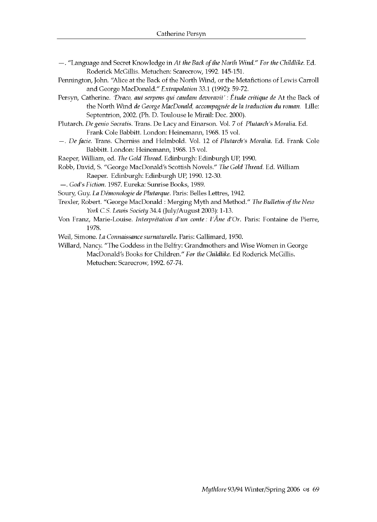- **—. "Language and Secret Knowledge in** *At the Back of the North Wind." For the Childlike.* **Ed. Roderick McGillis. Metuchen: Scarecrow, 1992. 145-151.**
- **Pennington, John. "Alice at the Back of the North Wind, or the Metafictions of Lewis Carroll and George MacDonald."** *Extrapolation* **33.1 (1992): 59-72.**
- **Persyn, Catherine.** *'Draco, aut serpens qui caudam devoravit': Etude critique de* **At the Back of the North Wind** *de George MacDonald, accompagnee de la traduction du roman.* **Lille: Septentrion, 2002. (Ph. D. Toulouse le Mirail: Dec. 2000).**
- **Plutarch.** *De genio Socratis.* **Trans. De Lacy and Einarson. Vol. 7 of** *Plutarch's Moralia.* **Ed. Frank Cole Babbitt. London: Heinemann, 1968. 15 vol.**
- **—.** *De facie.* **Trans. Cherniss and Helmbold. Vol. 12 of** *Plutarch's Moralia.* **Ed. Frank Cole Babbitt. London: Heinemann, 1968. 15 vol.**
- **Raeper, William, ed.** *The Gold Thread.* **Edinburgh: Edinburgh UP, 1990.**
- **Robb, David, S. "George MacDonald's Scottish Novels."** *The Gold Thread.* **Ed. William Raeper. Edinburgh: Edinburgh UP, 1990. 12-30.**
- **—.** *God's Fiction.* **1987. Eureka: Sunrise Books, 1989.**
- **Soury, Guy.** *La Demonologie de Plutarque.* **Paris: Belles Lettres, 1942.**
- **Trexler, Robert. "George MacDonald : Merging Myth and Method."** *The Bulletin of the New York C.S. Lewis Society* **34.4 (July/August 2003): 1-13.**
- **Von Franz, Marie-Louise.** *Interpretation d'un conte: l'Ane d'Or.* **Paris: Fontaine de Pierre, 1978.**
- **Weil, Simone.** *La Connaissance surnaturelle***. Paris: Gallimard, 1950.**
- **Willard, Nancy. "The Goddess in the Belfry: Grandmothers and Wise Women in George MacDonald's Books for Children."** *For the Childlike.* **Ed Roderick McGillis. Metuchen: Scarecrow, 1992. 67-74.**